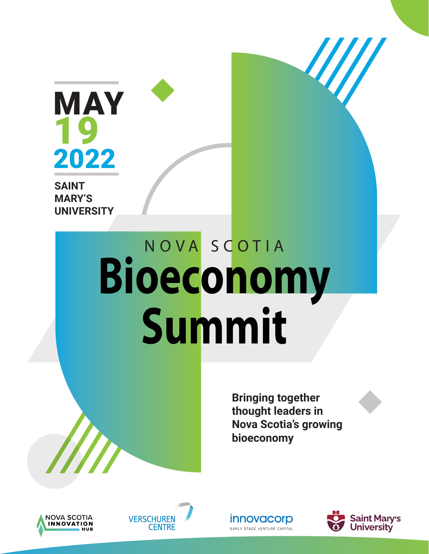

**SAINT MARY'S UNIVERSITY**

# N O V A S C O T I A **Bioeconomy Summit**

**Bringing together thought leaders in Nova Scotia's growing bioeconomy**







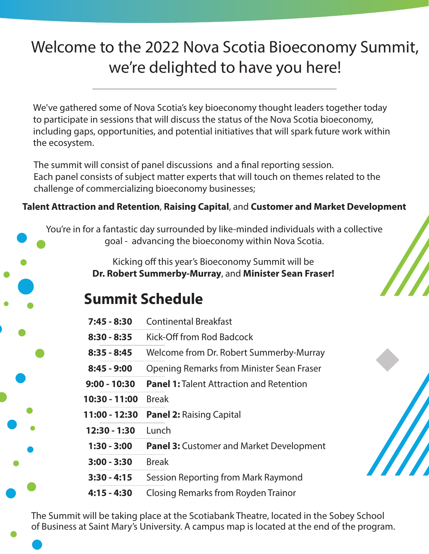## Welcome to the 2022 Nova Scotia Bioeconomy Summit, we're delighted to have you here!

We've gathered some of Nova Scotia's key bioeconomy thought leaders together today to participate in sessions that will discuss the status of the Nova Scotia bioeconomy, including gaps, opportunities, and potential initiatives that will spark future work within the ecosystem.

The summit will consist of panel discussions and a final reporting session. Each panel consists of subject matter experts that will touch on themes related to the challenge of commercializing bioeconomy businesses;

#### **Talent Attraction and Retention**, **Raising Capital**, and **Customer and Market Development**

You're in for a fantastic day surrounded by like-minded individuals with a collective goal - advancing the bioeconomy within Nova Scotia.

> Kicking off this year's Bioeconomy Summit will be **Dr. Robert Summerby-Murray**, and **Minister Sean Fraser!**

### **Summit Schedule**

| <b>Continental Breakfast</b><br>$7:45 - 8:30$ |
|-----------------------------------------------|
|-----------------------------------------------|

- **8:30 8:35** Kick-Off from Rod Badcock
- **8:35 8:45** Welcome from Dr. Robert Summerby-Murray
- **8:45 9:00** Opening Remarks from Minister Sean Fraser
- **9:00 10:30 Panel 1:** Talent Attraction and Retention
- **10:30 11:00** Break
- **11:00 12:30 Panel 2:** Raising Capital
- **12:30 1:30** Lunch
- **1:30 3:00 Panel 3:** Customer and Market Development
- **3:00 3:30** Break
- **3:30 4:15** Session Reporting from Mark Raymond
- **4:15 4:30** Closing Remarks from Royden Trainor

The Summit will be taking place at the Scotiabank Theatre, located in the Sobey School of Business at Saint Mary's University. A campus map is located at the end of the program.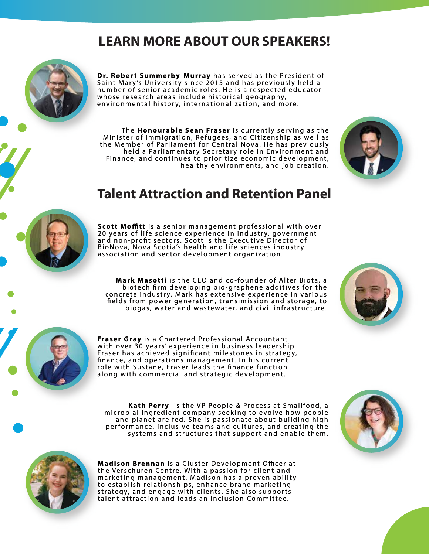#### **LEARN MORE ABOUT OUR SPEAKERS!**

**Dr. Robert Summerby-Murray** has served as the President of Saint Mary's University since 2015 and has previously held a number of senior academic roles. He is a respected educator whose research areas include historical geography, environmental history, internationalization, and more.

The **Honourable Sean Fraser** is currently serving as the Minister of Immigration, Refugees, and Citizenship as well as the Member of Parliament for Central Nova. He has previously held a Parliamentary Secretary role in Environment and Finance, and continues to prioritize economic development, healthy environments, and job creation.



#### **Talent Attraction and Retention Panel**



**Scott Moffitt** is a senior management professional with over 20 years of life science experience in industry, government and non-profit sectors. Scott is the Executive Director of BioNova, Nova Scotia's health and life sciences industry association and sector development organization.

**Mark Masotti** is the CEO and co-founder of Alter Biota, a biotech firm developing bio-graphene additives for the concrete industry. Mark has extensive experience in various fields from power generation, transimission and storage, to biogas, water and wastewater, and civil infrastructure.





**Fraser Gray** is a Chartered Professional Accountant with over 30 years' experience in business leadership. Fraser has achieved significant milestones in strategy, finance, and operations management. In his current role with Sustane, Fraser leads the finance function along with commercial and strategic development.

**Kath Perry** is the VP People & Process at Smallfood, a microbial ingredient company seeking to evolve how people and planet are fed. She is passionate about building high performance, inclusive teams and cultures, and creating the systems and structures that support and enable them.





**Madison Brennan** is a Cluster Development Officer at the Verschuren Centre. With a passion for client and marketing management, Madison has a proven ability to establish relationships, enhance brand marketing strategy, and engage with clients. She also supports talent attraction and leads an Inclusion Committee.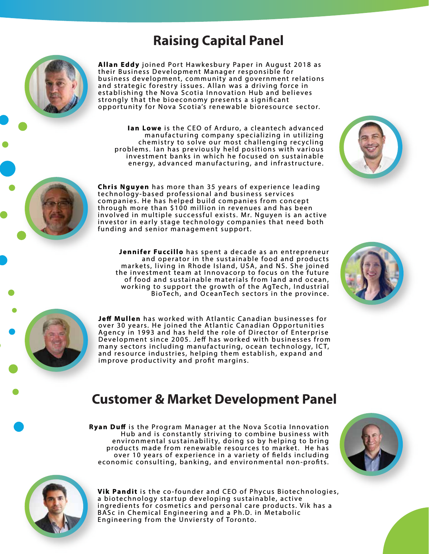#### **Raising Capital Panel**



**Ian Lowe** is the CEO of Arduro, a cleantech advanced manufacturing company specializing in utilizing chemistry to solve our most challenging recycling problems. Ian has previously held positions with various investment banks in which he focused on sustainable energy, advanced manufacturing, and infrastructure.





**Jennifer Fuccillo** has spent a decade as an entrepreneur and operator in the sustainable food and products markets, living in Rhode Island, USA, and NS. She joined the investment team at Innovacorp to focus on the future of food and sustainable materials from land and ocean, working to support the growth of the AgTech, Industrial BioTech, and OceanTech sectors in the province.





**Je Mullen** has worked with Atlantic Canadian businesses for over 30 years. He joined the Atlantic Canadian Opportunities Agency in 1993 and has held the role of Director of Enterprise Development since 2005. Jeff has worked with businesses from many sectors including manufacturing, ocean technology, ICT, and resource industries, helping them establish, expand and improve productivity and profit margins.

#### **Customer & Market Development Panel**

**Ryan Duff** is the Program Manager at the Nova Scotia Innovation Hub and is constantly striving to combine business with environmental sustainability, doing so by helping to bring products made from renewable resources to market. He has over 10 years of experience in a variety of fields including economic consulting, banking, and environmental non-profits.





**Vik Pandit** is the co-founder and CEO of Phycus Biotechnologies, a biotechnology startup developing sustainable, active ingredients for cosmetics and personal care products. Vik has a BASc in Chemical Engineering and a Ph.D. in Metabolic Engineering from the Unviersty of Toronto.

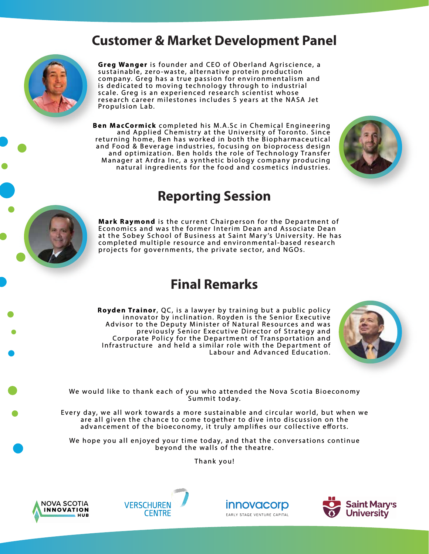#### **Customer & Market Development Panel**



**Greg Wanger** is founder and CEO of Oberland Agriscience, a sustainable, zero-waste, alternative protein production company. Greg has a true passion for environmentalism and is dedicated to moving technology through to industrial scale. Greg is an experienced research scientist whose research career milestones includes 5 years at the NASA Jet Propulsion Lab.

**Ben MacCormick** completed his M.A.Sc in Chemical Engineering and Applied Chemistry at the University of Toronto. Since returning home, Ben has worked in both the Biopharmaceutical and Food & Beverage industries, focusing on bioprocess design and optimization. Ben holds the role of Technology Transfer Manager at Ardra Inc, a synthetic biology company producing natural ingredients for the food and cosmetics industries.



#### **Reporting Session**

**Mark Raymond** is the current Chairperson for the Department of Economics and was the former Interim Dean and Associate Dean at the Sobey School of Business at Saint Mary's University. He has completed multiple resource and environmental-based research projects for governments, the private sector, and NGOs.

#### **Final Remarks**

**Royden Trainor**, QC, is a lawyer by training but a public policy innovator by inclination. Royden is the Senior Executive Advisor to the Deputy Minister of Natural Resources and was previously Senior Executive Director of Strategy and Corporate Policy for the Department of Transportation and Infrastructure and held a similar role with the Department of Labour and Advanced Education.



We would like to thank each of you who attended the Nova Scotia Bioeconomy Summit today.

Every day, we all work towards a more sustainable and circular world, but when we are all given the chance to come together to dive into discussion on the advancement of the bioeconomy, it truly amplifies our collective efforts.

We hope you all enjoyed your time today, and that the conversations continue beyond the walls of the theatre.

Thank you!